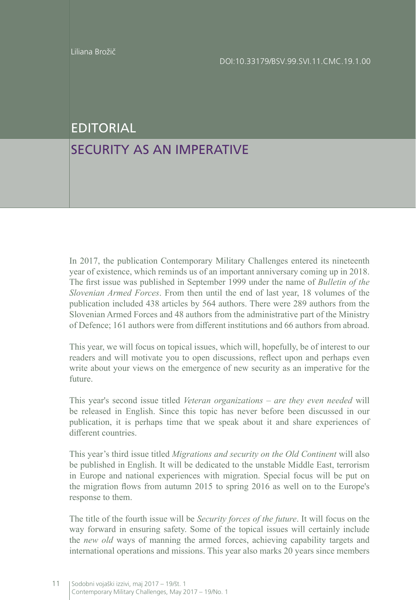## EDITORIAL

## SECURITY AS AN IMPERATIVE

In 2017, the publication Contemporary Military Challenges entered its nineteenth year of existence, which reminds us of an important anniversary coming up in 2018. The first issue was published in September 1999 under the name of *Bulletin of the Slovenian Armed Forces*. From then until the end of last year, 18 volumes of the publication included 438 articles by 564 authors. There were 289 authors from the Slovenian Armed Forces and 48 authors from the administrative part of the Ministry of Defence; 161 authors were from different institutions and 66 authors from abroad.

This year, we will focus on topical issues, which will, hopefully, be of interest to our readers and will motivate you to open discussions, reflect upon and perhaps even write about your views on the emergence of new security as an imperative for the future.

This year's second issue titled *Veteran organizations – are they even needed* will be released in English. Since this topic has never before been discussed in our publication, it is perhaps time that we speak about it and share experiences of different countries.

This year's third issue titled *Migrations and security on the Old Continent* will also be published in English. It will be dedicated to the unstable Middle East, terrorism in Europe and national experiences with migration. Special focus will be put on the migration flows from autumn 2015 to spring 2016 as well on to the Europe's response to them.

The title of the fourth issue will be *Security forces of the future*. It will focus on the way forward in ensuring safety. Some of the topical issues will certainly include the *new old* ways of manning the armed forces, achieving capability targets and international operations and missions. This year also marks 20 years since members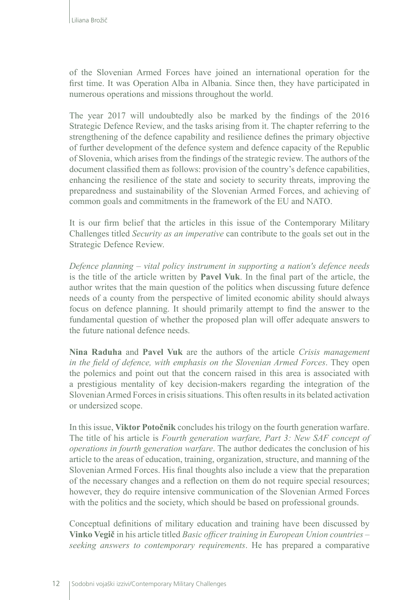of the Slovenian Armed Forces have joined an international operation for the first time. It was Operation Alba in Albania. Since then, they have participated in numerous operations and missions throughout the world.

The year 2017 will undoubtedly also be marked by the findings of the 2016 Strategic Defence Review, and the tasks arising from it. The chapter referring to the strengthening of the defence capability and resilience defines the primary objective of further development of the defence system and defence capacity of the Republic of Slovenia, which arises from the findings of the strategic review. The authors of the document classified them as follows: provision of the country's defence capabilities, enhancing the resilience of the state and society to security threats, improving the preparedness and sustainability of the Slovenian Armed Forces, and achieving of common goals and commitments in the framework of the EU and NATO.

It is our firm belief that the articles in this issue of the Contemporary Military Challenges titled *Security as an imperative* can contribute to the goals set out in the Strategic Defence Review.

*Defence planning – vital policy instrument in supporting a nation's defence needs* is the title of the article written by **Pavel Vuk**. In the final part of the article, the author writes that the main question of the politics when discussing future defence needs of a county from the perspective of limited economic ability should always focus on defence planning. It should primarily attempt to find the answer to the fundamental question of whether the proposed plan will offer adequate answers to the future national defence needs.

**Nina Raduha** and **Pavel Vuk** are the authors of the article *Crisis management in the field of defence, with emphasis on the Slovenian Armed Forces*. They open the polemics and point out that the concern raised in this area is associated with a prestigious mentality of key decision-makers regarding the integration of the Slovenian Armed Forces in crisis situations. This often results in its belated activation or undersized scope.

In this issue, **Viktor Potočnik** concludes his trilogy on the fourth generation warfare. The title of his article is *Fourth generation warfare, Part 3: New SAF concept of operations in fourth generation warfare*. The author dedicates the conclusion of his article to the areas of education, training, organization, structure, and manning of the Slovenian Armed Forces. His final thoughts also include a view that the preparation of the necessary changes and a reflection on them do not require special resources; however, they do require intensive communication of the Slovenian Armed Forces with the politics and the society, which should be based on professional grounds.

Conceptual definitions of military education and training have been discussed by **Vinko Vegič** in his article titled *Basic officer training in European Union countries – seeking answers to contemporary requirements*. He has prepared a comparative